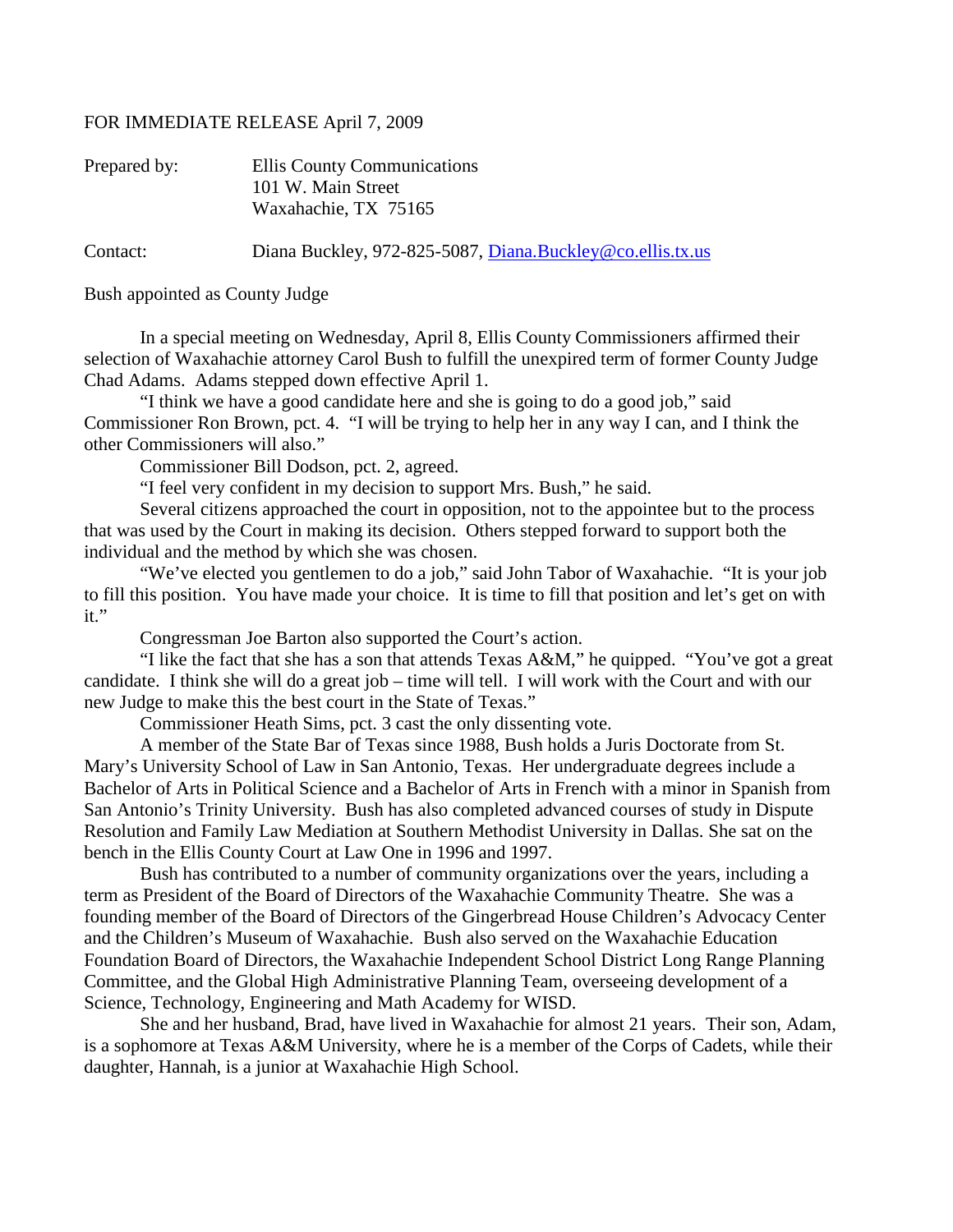## FOR IMMEDIATE RELEASE April 7, 2009

| Prepared by: | Ellis County Communications<br>101 W. Main Street         |
|--------------|-----------------------------------------------------------|
|              | Waxahachie, TX 75165                                      |
| Contact:     | Diana Buckley, 972-825-5087, Diana.Buckley@co.ellis.tx.us |

Bush appointed as County Judge

In a special meeting on Wednesday, April 8, Ellis County Commissioners affirmed their selection of Waxahachie attorney Carol Bush to fulfill the unexpired term of former County Judge Chad Adams. Adams stepped down effective April 1.

"I think we have a good candidate here and she is going to do a good job," said Commissioner Ron Brown, pct. 4. "I will be trying to help her in any way I can, and I think the other Commissioners will also."

Commissioner Bill Dodson, pct. 2, agreed.

"I feel very confident in my decision to support Mrs. Bush," he said.

Several citizens approached the court in opposition, not to the appointee but to the process that was used by the Court in making its decision. Others stepped forward to support both the individual and the method by which she was chosen.

"We've elected you gentlemen to do a job," said John Tabor of Waxahachie. "It is your job to fill this position. You have made your choice. It is time to fill that position and let's get on with it."

Congressman Joe Barton also supported the Court's action.

"I like the fact that she has a son that attends Texas A&M," he quipped. "You've got a great candidate. I think she will do a great job – time will tell. I will work with the Court and with our new Judge to make this the best court in the State of Texas."

Commissioner Heath Sims, pct. 3 cast the only dissenting vote.

A member of the State Bar of Texas since 1988, Bush holds a Juris Doctorate from St. Mary's University School of Law in San Antonio, Texas. Her undergraduate degrees include a Bachelor of Arts in Political Science and a Bachelor of Arts in French with a minor in Spanish from San Antonio's Trinity University. Bush has also completed advanced courses of study in Dispute Resolution and Family Law Mediation at Southern Methodist University in Dallas. She sat on the bench in the Ellis County Court at Law One in 1996 and 1997.

Bush has contributed to a number of community organizations over the years, including a term as President of the Board of Directors of the Waxahachie Community Theatre. She was a founding member of the Board of Directors of the Gingerbread House Children's Advocacy Center and the Children's Museum of Waxahachie. Bush also served on the Waxahachie Education Foundation Board of Directors, the Waxahachie Independent School District Long Range Planning Committee, and the Global High Administrative Planning Team, overseeing development of a Science, Technology, Engineering and Math Academy for WISD.

She and her husband, Brad, have lived in Waxahachie for almost 21 years. Their son, Adam, is a sophomore at Texas A&M University, where he is a member of the Corps of Cadets, while their daughter, Hannah, is a junior at Waxahachie High School.